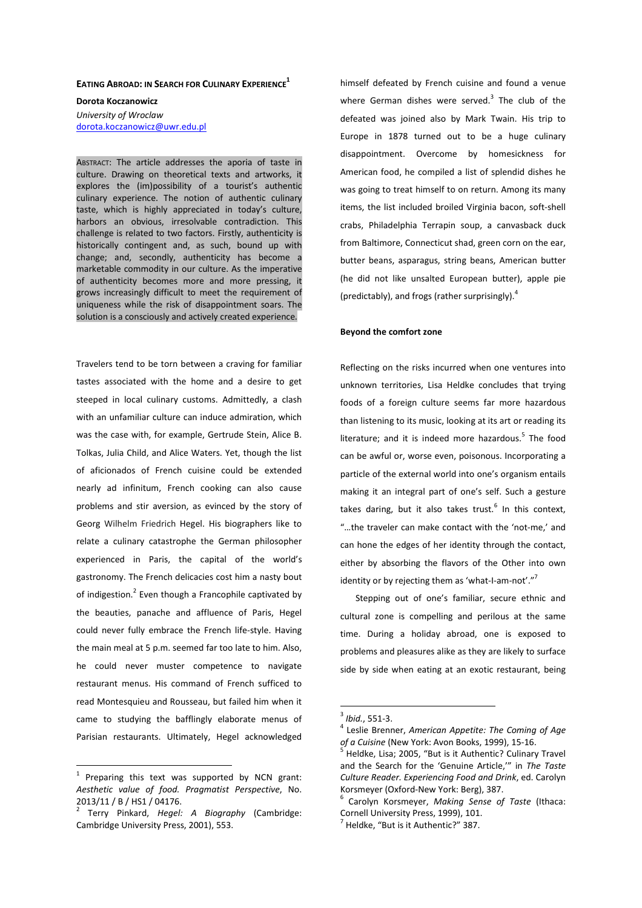# **EATING ABROAD: IN SEARCH FOR CULINARY EXPERIENCE<sup>1</sup>**

**Dorota Koczanowicz** *University of Wroclaw*  dorota.koczanowicz@uwr.edu.pl

ABSTRACT: The article addresses the aporia of taste in culture. Drawing on theoretical texts and artworks, it explores the (im)possibility of a tourist's authentic culinary experience. The notion of authentic culinary taste, which is highly appreciated in today's culture, harbors an obvious, irresolvable contradiction. This challenge is related to two factors. Firstly, authenticity is historically contingent and, as such, bound up with change; and, secondly, authenticity has become a marketable commodity in our culture. As the imperative of authenticity becomes more and more pressing, it grows increasingly difficult to meet the requirement of uniqueness while the risk of disappointment soars. The solution is a consciously and actively created experience.

Travelers tend to be torn between a craving for familiar tastes associated with the home and a desire to get steeped in local culinary customs. Admittedly, a clash with an unfamiliar culture can induce admiration, which was the case with, for example, Gertrude Stein, Alice B. Tolkas, Julia Child, and Alice Waters. Yet, though the list of aficionados of French cuisine could be extended nearly ad infinitum, French cooking can also cause problems and stir aversion, as evinced by the story of Georg Wilhelm Friedrich Hegel. His biographers like to relate a culinary catastrophe the German philosopher experienced in Paris, the capital of the world's gastronomy. The French delicacies cost him a nasty bout of indigestion. $^2$  Even though a Francophile captivated by the beauties, panache and affluence of Paris, Hegel could never fully embrace the French life-style. Having the main meal at 5 p.m. seemed far too late to him. Also, he could never muster competence to navigate restaurant menus. His command of French sufficed to read Montesquieu and Rousseau, but failed him when it came to studying the bafflingly elaborate menus of Parisian restaurants. Ultimately, Hegel acknowledged

 $\overline{a}$ 

himself defeated by French cuisine and found a venue where German dishes were served.<sup>3</sup> The club of the defeated was joined also by Mark Twain. His trip to Europe in 1878 turned out to be a huge culinary disappointment. Overcome by homesickness for American food, he compiled a list of splendid dishes he was going to treat himself to on return. Among its many items, the list included broiled Virginia bacon, soft-shell crabs, Philadelphia Terrapin soup, a canvasback duck from Baltimore, Connecticut shad, green corn on the ear, butter beans, asparagus, string beans, American butter (he did not like unsalted European butter), apple pie (predictably), and frogs (rather surprisingly).<sup>4</sup>

#### **Beyond the comfort zone**

Reflecting on the risks incurred when one ventures into unknown territories, Lisa Heldke concludes that trying foods of a foreign culture seems far more hazardous than listening to its music, looking at its art or reading its literature; and it is indeed more hazardous.<sup>5</sup> The food can be awful or, worse even, poisonous. Incorporating a particle of the external world into one's organism entails making it an integral part of one's self. Such a gesture takes daring, but it also takes trust.<sup>6</sup> In this context, "…the traveler can make contact with the 'not-me,' and can hone the edges of her identity through the contact, either by absorbing the flavors of the Other into own identity or by rejecting them as 'what-I-am-not'."<sup>7</sup>

Stepping out of one's familiar, secure ethnic and cultural zone is compelling and perilous at the same time. During a holiday abroad, one is exposed to problems and pleasures alike as they are likely to surface side by side when eating at an exotic restaurant, being

 $1$  Preparing this text was supported by NCN grant: *Aesthetic value of food. Pragmatist Perspective*, No. 2013/11 / B / HS1 / 04176.

<sup>2</sup> Terry Pinkard, *Hegel: A Biography* (Cambridge: Cambridge University Press, 2001), 553.

<sup>3</sup> *Ibid.*, 551-3.

<sup>4</sup> Leslie Brenner, *American Appetite: The Coming of Age of a Cuisine* (New York: Avon Books, 1999), 15-16.

<sup>&</sup>lt;sup>5</sup> Heldke, Lisa; 2005, "But is it Authentic? Culinary Travel and the Search for the 'Genuine Article,'" in *The Taste Culture Reader. Experiencing Food and Drink*, ed. Carolyn Korsmeyer (Oxford-New York: Berg), 387.

<sup>6</sup> Carolyn Korsmeyer, *Making Sense of Taste* (Ithaca: Cornell University Press, 1999), 101.

 $^7$  Heldke, "But is it Authentic?" 387.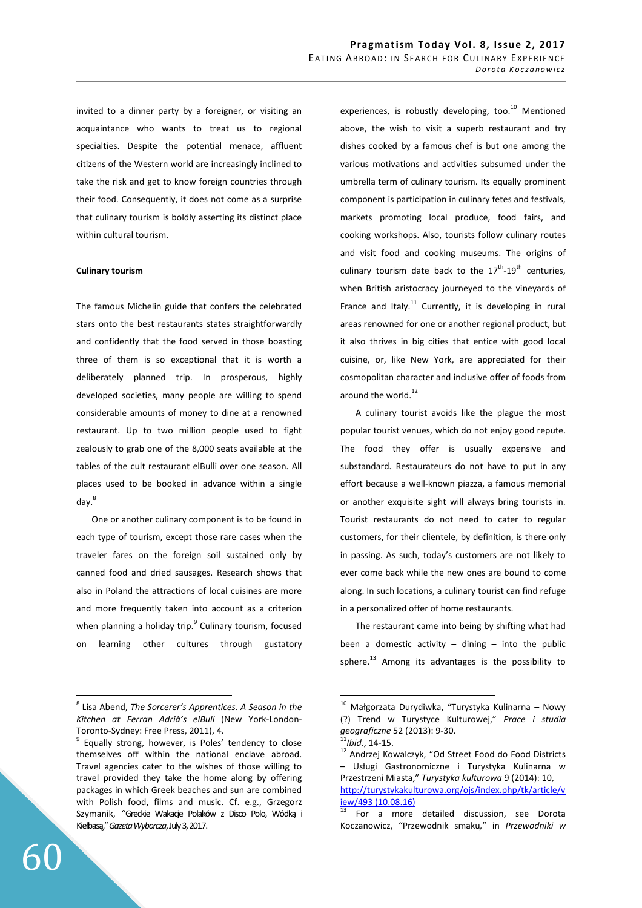invited to a dinner party by a foreigner, or visiting an acquaintance who wants to treat us to regional specialties. Despite the potential menace, affluent citizens of the Western world are increasingly inclined to take the risk and get to know foreign countries through their food. Consequently, it does not come as a surprise that culinary tourism is boldly asserting its distinct place within cultural tourism.

#### **Culinary tourism**

The famous Michelin guide that confers the celebrated stars onto the best restaurants states straightforwardly and confidently that the food served in those boasting three of them is so exceptional that it is worth a deliberately planned trip. In prosperous, highly developed societies, many people are willing to spend considerable amounts of money to dine at a renowned restaurant. Up to two million people used to fight zealously to grab one of the 8,000 seats available at the tables of the cult restaurant elBulli over one season. All places used to be booked in advance within a single day.<sup>8</sup>

One or another culinary component is to be found in each type of tourism, except those rare cases when the traveler fares on the foreign soil sustained only by canned food and dried sausages. Research shows that also in Poland the attractions of local cuisines are more and more frequently taken into account as a criterion when planning a holiday trip.<sup>9</sup> Culinary tourism, focused on learning other cultures through gustatory experiences, is robustly developing, too. $^{10}$  Mentioned above, the wish to visit a superb restaurant and try dishes cooked by a famous chef is but one among the various motivations and activities subsumed under the umbrella term of culinary tourism. Its equally prominent component is participation in culinary fetes and festivals, markets promoting local produce, food fairs, and cooking workshops. Also, tourists follow culinary routes and visit food and cooking museums. The origins of culinary tourism date back to the  $17^{\text{th}}$ -19<sup>th</sup> centuries. when British aristocracy journeyed to the vineyards of France and Italy.<sup>11</sup> Currently, it is developing in rural areas renowned for one or another regional product, but it also thrives in big cities that entice with good local cuisine, or, like New York, are appreciated for their cosmopolitan character and inclusive offer of foods from around the world.<sup>12</sup>

A culinary tourist avoids like the plague the most popular tourist venues, which do not enjoy good repute. The food they offer is usually expensive and substandard. Restaurateurs do not have to put in any effort because a well-known piazza, a famous memorial or another exquisite sight will always bring tourists in. Tourist restaurants do not need to cater to regular customers, for their clientele, by definition, is there only in passing. As such, today's customers are not likely to ever come back while the new ones are bound to come along. In such locations, a culinary tourist can find refuge in a personalized offer of home restaurants.

The restaurant came into being by shifting what had been a domestic activity  $-$  dining  $-$  into the public sphere.<sup>13</sup> Among its advantages is the possibility to

 $\overline{a}$ 

<sup>8</sup> Lisa Abend, *The Sorcerer's Apprentices. A Season in the Kitchen at Ferran Adrià's elBuli* (New York-London-Toronto-Sydney: Free Press, 2011), 4.

<sup>9</sup> Equally strong, however, is Poles' tendency to close themselves off within the national enclave abroad. Travel agencies cater to the wishes of those willing to travel provided they take the home along by offering packages in which Greek beaches and sun are combined with Polish food, films and music. Cf. e.g., Grzegorz Szymanik, "Greckie Wakacje Polaków z Disco Polo, Wódką i Kiełbasą," *Gazeta Wyborcza*, July 3, 2017.

 $10$  Małgorzata Durydiwka, "Turystyka Kulinarna – Nowy (?) Trend w Turystyce Kulturowej," *Prace i studia geograficzne* 52 (2013): 9-30.

<sup>11</sup>*Ibid.*, 14-15.

<sup>12</sup> Andrzej Kowalczyk, "Od Street Food do Food Districts – Usługi Gastronomiczne i Turystyka Kulinarna w Przestrzeni Miasta," *Turystyka kulturowa* 9 (2014): 10, http://turystykakulturowa.org/ojs/index.php/tk/article/v iew/493 (10.08.16)

<sup>13</sup> For a more detailed discussion, see Dorota Koczanowicz, "Przewodnik smaku*,*" in *Przewodniki w*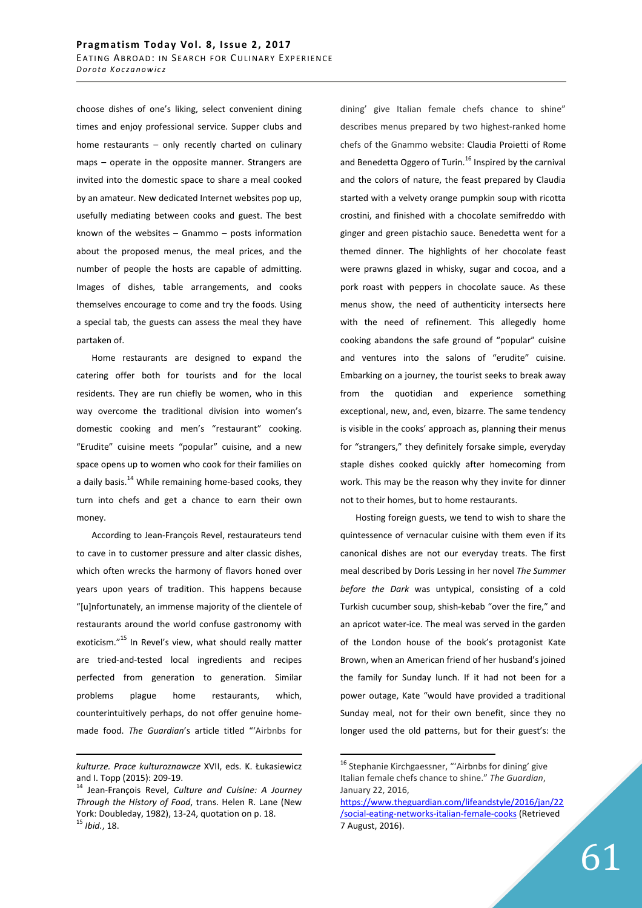choose dishes of one's liking, select convenient dining times and enjoy professional service. Supper clubs and home restaurants – only recently charted on culinary maps – operate in the opposite manner. Strangers are invited into the domestic space to share a meal cooked by an amateur. New dedicated Internet websites pop up, usefully mediating between cooks and guest. The best known of the websites – Gnammo – posts information about the proposed menus, the meal prices, and the number of people the hosts are capable of admitting. Images of dishes, table arrangements, and cooks themselves encourage to come and try the foods. Using a special tab, the guests can assess the meal they have partaken of.

Home restaurants are designed to expand the catering offer both for tourists and for the local residents. They are run chiefly be women, who in this way overcome the traditional division into women's domestic cooking and men's "restaurant" cooking. "Erudite" cuisine meets "popular" cuisine, and a new space opens up to women who cook for their families on a daily basis.<sup>14</sup> While remaining home-based cooks, they turn into chefs and get a chance to earn their own money.

According to Jean-François Revel, restaurateurs tend to cave in to customer pressure and alter classic dishes, which often wrecks the harmony of flavors honed over years upon years of tradition. This happens because "[u]nfortunately, an immense majority of the clientele of restaurants around the world confuse gastronomy with exoticism."<sup>15</sup> In Revel's view, what should really matter are tried-and-tested local ingredients and recipes perfected from generation to generation. Similar problems plague home restaurants, which, counterintuitively perhaps, do not offer genuine homemade food. *The Guardian*'s article titled "'Airbnbs for

<u>.</u>

dining' give Italian female chefs chance to shine" describes menus prepared by two highest-ranked home chefs of the Gnammo website: Claudia Proietti of Rome and Benedetta Oggero of Turin.<sup>16</sup> Inspired by the carnival and the colors of nature, the feast prepared by Claudia started with a velvety orange pumpkin soup with ricotta crostini, and finished with a chocolate semifreddo with ginger and green pistachio sauce. Benedetta went for a themed dinner. The highlights of her chocolate feast were prawns glazed in whisky, sugar and cocoa, and a pork roast with peppers in chocolate sauce. As these menus show, the need of authenticity intersects here with the need of refinement. This allegedly home cooking abandons the safe ground of "popular" cuisine and ventures into the salons of "erudite" cuisine. Embarking on a journey, the tourist seeks to break away from the quotidian and experience something exceptional, new, and, even, bizarre. The same tendency is visible in the cooks' approach as, planning their menus for "strangers," they definitely forsake simple, everyday staple dishes cooked quickly after homecoming from work. This may be the reason why they invite for dinner not to their homes, but to home restaurants.

Hosting foreign guests, we tend to wish to share the quintessence of vernacular cuisine with them even if its canonical dishes are not our everyday treats. The first meal described by Doris Lessing in her novel *The Summer before the Dark* was untypical, consisting of a cold Turkish cucumber soup, shish-kebab "over the fire," and an apricot water-ice. The meal was served in the garden of the London house of the book's protagonist Kate Brown, when an American friend of her husband's joined the family for Sunday lunch. If it had not been for a power outage, Kate "would have provided a traditional Sunday meal, not for their own benefit, since they no longer used the old patterns, but for their guest's: the

*kulturze. Prace kulturoznawcze* XVII, eds. K. Łukasiewicz and I. Topp (2015): 209-19.

<sup>14</sup> Jean-François Revel, *Culture and Cuisine: A Journey Through the History of Food*, trans. Helen R. Lane (New York: Doubleday, 1982), 13-24, quotation on p. 18. <sup>15</sup> *Ibid.*, 18.

<sup>&</sup>lt;sup>16</sup> Stephanie Kirchgaessner, "'Airbnbs for dining' give Italian female chefs chance to shine." *The Guardian*, January 22, 2016,

https://www.theguardian.com/lifeandstyle/2016/jan/22 /social-eating-networks-italian-female-cooks (Retrieved 7 August, 2016).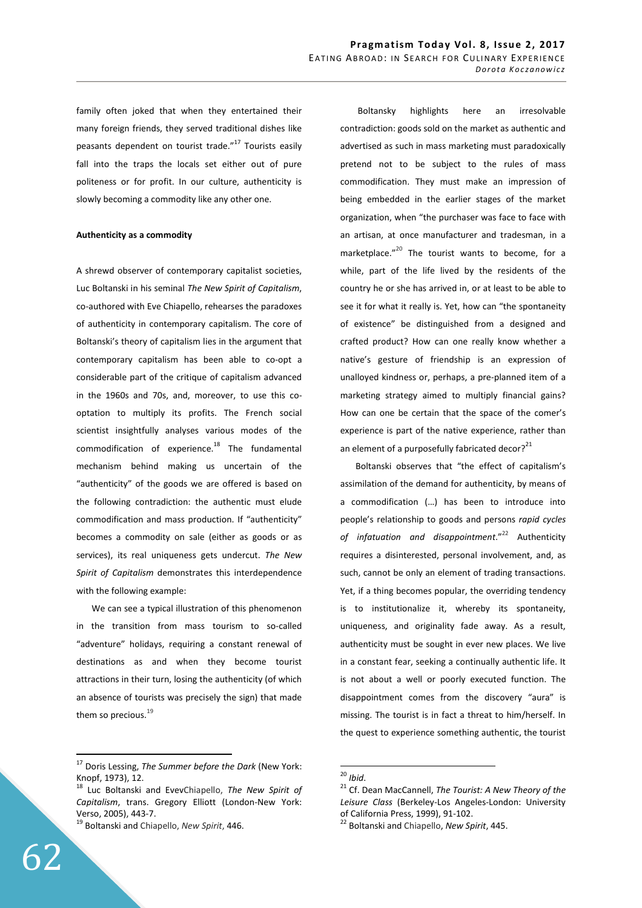family often joked that when they entertained their many foreign friends, they served traditional dishes like peasants dependent on tourist trade."<sup>17</sup> Tourists easily fall into the traps the locals set either out of pure politeness or for profit. In our culture, authenticity is slowly becoming a commodity like any other one.

#### **Authenticity as a commodity**

A shrewd observer of contemporary capitalist societies, Luc Boltanski in his seminal *The New Spirit of Capitalism*, co-authored with Eve Chiapello, rehearses the paradoxes of authenticity in contemporary capitalism. The core of Boltanski's theory of capitalism lies in the argument that contemporary capitalism has been able to co-opt a considerable part of the critique of capitalism advanced in the 1960s and 70s, and, moreover, to use this cooptation to multiply its profits. The French social scientist insightfully analyses various modes of the commodification of experience.<sup>18</sup> The fundamental mechanism behind making us uncertain of the "authenticity" of the goods we are offered is based on the following contradiction: the authentic must elude commodification and mass production. If "authenticity" becomes a commodity on sale (either as goods or as services), its real uniqueness gets undercut. *The New Spirit of Capitalism* demonstrates this interdependence with the following example:

We can see a typical illustration of this phenomenon in the transition from mass tourism to so-called "adventure" holidays, requiring a constant renewal of destinations as and when they become tourist attractions in their turn, losing the authenticity (of which an absence of tourists was precisely the sign) that made them so precious. $19$ 

<sup>19</sup> Boltanski and Chiapello, *New Spirit*, 446.

 Boltansky highlights here an irresolvable contradiction: goods sold on the market as authentic and advertised as such in mass marketing must paradoxically pretend not to be subject to the rules of mass commodification. They must make an impression of being embedded in the earlier stages of the market organization, when "the purchaser was face to face with an artisan, at once manufacturer and tradesman, in a marketplace."<sup>20</sup> The tourist wants to become, for a while, part of the life lived by the residents of the country he or she has arrived in, or at least to be able to see it for what it really is. Yet, how can "the spontaneity of existence" be distinguished from a designed and crafted product? How can one really know whether a native's gesture of friendship is an expression of unalloyed kindness or, perhaps, a pre-planned item of a marketing strategy aimed to multiply financial gains? How can one be certain that the space of the comer's experience is part of the native experience, rather than an element of a purposefully fabricated decor? $^{21}$ 

Boltanski observes that "the effect of capitalism's assimilation of the demand for authenticity, by means of a commodification (…) has been to introduce into people's relationship to goods and persons *rapid cycles of infatuation and disappointment*."<sup>22</sup> Authenticity requires a disinterested, personal involvement, and, as such, cannot be only an element of trading transactions. Yet, if a thing becomes popular, the overriding tendency is to institutionalize it, whereby its spontaneity, uniqueness, and originality fade away. As a result, authenticity must be sought in ever new places. We live in a constant fear, seeking a continually authentic life. It is not about a well or poorly executed function. The disappointment comes from the discovery "aura" is missing. The tourist is in fact a threat to him/herself. In the quest to experience something authentic, the tourist

 $\overline{a}$ 

<sup>17</sup> Doris Lessing, *The Summer before the Dark* (New York: Knopf, 1973), 12.

Luc Boltanski and EvevChiapello, *The New Spirit of Capitalism*, trans. Gregory Elliott (London-New York: Verso, 2005), 443-7.

<sup>20</sup> *Ibid*.

<sup>21</sup> Cf. Dean MacCannell, *The Tourist: A New Theory of the Leisure Class* (Berkeley-Los Angeles-London: University of California Press, 1999), 91-102.

<sup>22</sup> Boltanski and Chiapello, *New Spirit*, 445.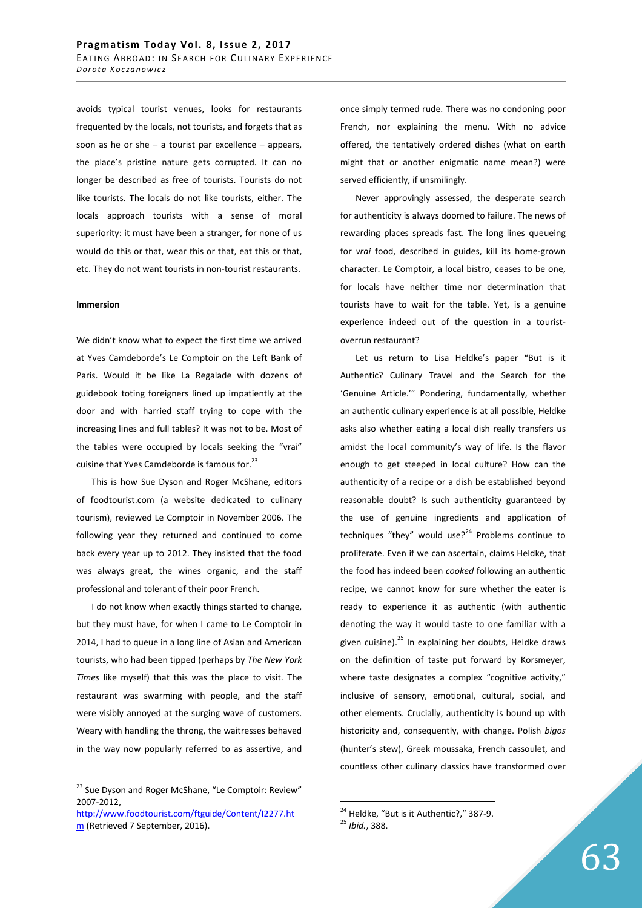avoids typical tourist venues, looks for restaurants frequented by the locals, not tourists, and forgets that as soon as he or she  $-$  a tourist par excellence  $-$  appears, the place's pristine nature gets corrupted. It can no longer be described as free of tourists. Tourists do not like tourists. The locals do not like tourists, either. The locals approach tourists with a sense of moral superiority: it must have been a stranger, for none of us would do this or that, wear this or that, eat this or that, etc. They do not want tourists in non-tourist restaurants.

#### **Immersion**

 $\overline{a}$ 

We didn't know what to expect the first time we arrived at Yves Camdeborde's Le Comptoir on the Left Bank of Paris. Would it be like La Regalade with dozens of guidebook toting foreigners lined up impatiently at the door and with harried staff trying to cope with the increasing lines and full tables? It was not to be. Most of the tables were occupied by locals seeking the "vrai" cuisine that Yves Camdeborde is famous for.<sup>23</sup>

This is how Sue Dyson and Roger McShane, editors of foodtourist.com (a website dedicated to culinary tourism), reviewed Le Comptoir in November 2006. The following year they returned and continued to come back every year up to 2012. They insisted that the food was always great, the wines organic, and the staff professional and tolerant of their poor French.

I do not know when exactly things started to change, but they must have, for when I came to Le Comptoir in 2014, I had to queue in a long line of Asian and American tourists, who had been tipped (perhaps by *The New York Times* like myself) that this was the place to visit. The restaurant was swarming with people, and the staff were visibly annoyed at the surging wave of customers. Weary with handling the throng, the waitresses behaved in the way now popularly referred to as assertive, and once simply termed rude. There was no condoning poor French, nor explaining the menu. With no advice offered, the tentatively ordered dishes (what on earth might that or another enigmatic name mean?) were served efficiently, if unsmilingly.

Never approvingly assessed, the desperate search for authenticity is always doomed to failure. The news of rewarding places spreads fast. The long lines queueing for *vrai* food, described in guides, kill its home-grown character. Le Comptoir, a local bistro, ceases to be one, for locals have neither time nor determination that tourists have to wait for the table. Yet, is a genuine experience indeed out of the question in a touristoverrun restaurant?

Let us return to Lisa Heldke's paper "But is it Authentic? Culinary Travel and the Search for the 'Genuine Article.'" Pondering, fundamentally, whether an authentic culinary experience is at all possible, Heldke asks also whether eating a local dish really transfers us amidst the local community's way of life. Is the flavor enough to get steeped in local culture? How can the authenticity of a recipe or a dish be established beyond reasonable doubt? Is such authenticity guaranteed by the use of genuine ingredients and application of techniques "they" would use? $24$  Problems continue to proliferate. Even if we can ascertain, claims Heldke, that the food has indeed been *cooked* following an authentic recipe, we cannot know for sure whether the eater is ready to experience it as authentic (with authentic denoting the way it would taste to one familiar with a given cuisine). $^{25}$  In explaining her doubts, Heldke draws on the definition of taste put forward by Korsmeyer, where taste designates a complex "cognitive activity," inclusive of sensory, emotional, cultural, social, and other elements. Crucially, authenticity is bound up with historicity and, consequently, with change. Polish *bigos*  (hunter's stew), Greek moussaka, French cassoulet, and countless other culinary classics have transformed over

<sup>&</sup>lt;sup>23</sup> Sue Dyson and Roger McShane, "Le Comptoir: Review" 2007-2012,

http://www.foodtourist.com/ftguide/Content/I2277.ht m (Retrieved 7 September, 2016).

 $24$  Heldke, "But is it Authentic?," 387-9.

<sup>25</sup> *Ibid.*, 388.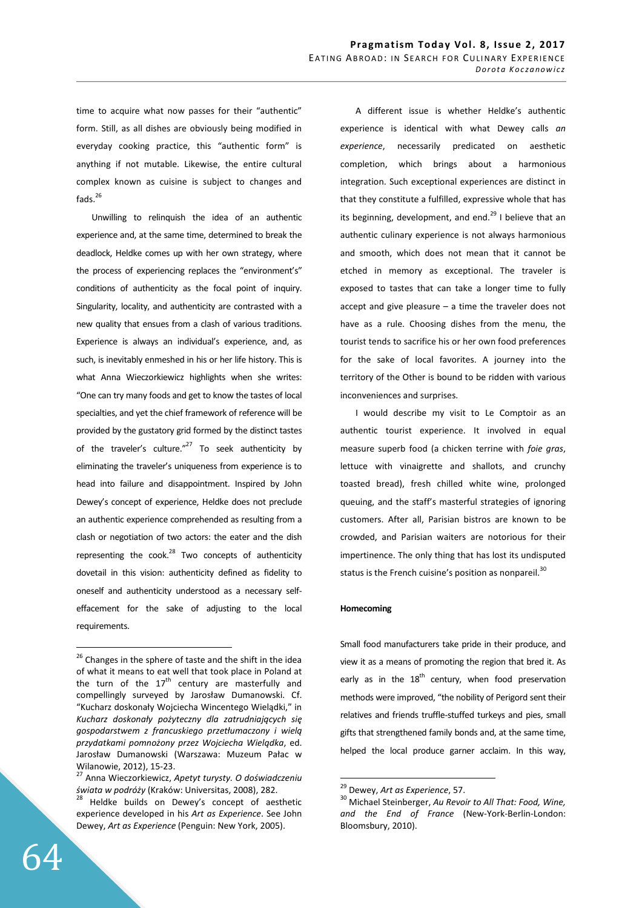time to acquire what now passes for their "authentic" form. Still, as all dishes are obviously being modified in everyday cooking practice, this "authentic form" is anything if not mutable. Likewise, the entire cultural complex known as cuisine is subject to changes and fads. $^{26}$ 

Unwilling to relinquish the idea of an authentic experience and, at the same time, determined to break the deadlock, Heldke comes up with her own strategy, where the process of experiencing replaces the "environment's" conditions of authenticity as the focal point of inquiry. Singularity, locality, and authenticity are contrasted with a new quality that ensues from a clash of various traditions. Experience is always an individual's experience, and, as such, is inevitably enmeshed in his or her life history. This is what Anna Wieczorkiewicz highlights when she writes: "One can try many foods and get to know the tastes of local specialties, and yet the chief framework of reference will be provided by the gustatory grid formed by the distinct tastes of the traveler's culture." $^{27}$  To seek authenticity by eliminating the traveler's uniqueness from experience is to head into failure and disappointment. Inspired by John Dewey's concept of experience, Heldke does not preclude an authentic experience comprehended as resulting from a clash or negotiation of two actors: the eater and the dish representing the  ${cook.<sup>28</sup>}$  Two concepts of authenticity dovetail in this vision: authenticity defined as fidelity to oneself and authenticity understood as a necessary selfeffacement for the sake of adjusting to the local requirements.

A different issue is whether Heldke's authentic experience is identical with what Dewey calls *an experience*, necessarily predicated on aesthetic completion, which brings about a harmonious integration. Such exceptional experiences are distinct in that they constitute a fulfilled, expressive whole that has its beginning, development, and end. $^{29}$  I believe that an authentic culinary experience is not always harmonious and smooth, which does not mean that it cannot be etched in memory as exceptional. The traveler is exposed to tastes that can take a longer time to fully accept and give pleasure – a time the traveler does not have as a rule. Choosing dishes from the menu, the tourist tends to sacrifice his or her own food preferences for the sake of local favorites. A journey into the territory of the Other is bound to be ridden with various inconveniences and surprises.

I would describe my visit to Le Comptoir as an authentic tourist experience. It involved in equal measure superb food (a chicken terrine with *foie gras*, lettuce with vinaigrette and shallots, and crunchy toasted bread), fresh chilled white wine, prolonged queuing, and the staff's masterful strategies of ignoring customers. After all, Parisian bistros are known to be crowded, and Parisian waiters are notorious for their impertinence. The only thing that has lost its undisputed status is the French cuisine's position as nonpareil.<sup>30</sup>

## **Homecoming**

 $\overline{a}$ 

Small food manufacturers take pride in their produce, and view it as a means of promoting the region that bred it. As early as in the  $18<sup>th</sup>$  century, when food preservation methods were improved, "the nobility of Perigord sent their relatives and friends truffle-stuffed turkeys and pies, small gifts that strengthened family bonds and, at the same time, helped the local produce garner acclaim. In this way,

<sup>&</sup>lt;sup>26</sup> Changes in the sphere of taste and the shift in the idea of what it means to eat well that took place in Poland at the turn of the  $17<sup>th</sup>$  century are masterfully and compellingly surveyed by Jarosław Dumanowski. Cf. "Kucharz doskonały Wojciecha Wincentego Wielądki," in *Kucharz doskonały pożyteczny dla zatrudniających się gospodarstwem z francuskiego przetłumaczony i wielą przydatkami pomnożony przez Wojciecha Wielądka*, ed. Jarosław Dumanowski (Warszawa: Muzeum Pałac w Wilanowie, 2012), 15-23.

<sup>27</sup> Anna Wieczorkiewicz, *Apetyt turysty. O doświadczeniu świata w podróży* (Kraków: Universitas, 2008), 282.

<sup>&</sup>lt;sup>28</sup> Heldke builds on Dewey's concept of aesthetic experience developed in his *Art as Experience*. See John Dewey, *Art as Experience* (Penguin: New York, 2005).

<sup>29</sup> Dewey, *Art as Experience*, 57.

<sup>30</sup> Michael Steinberger, *Au Revoir to All That: Food, Wine, and the End of France* (New-York-Berlin-London: Bloomsbury, 2010).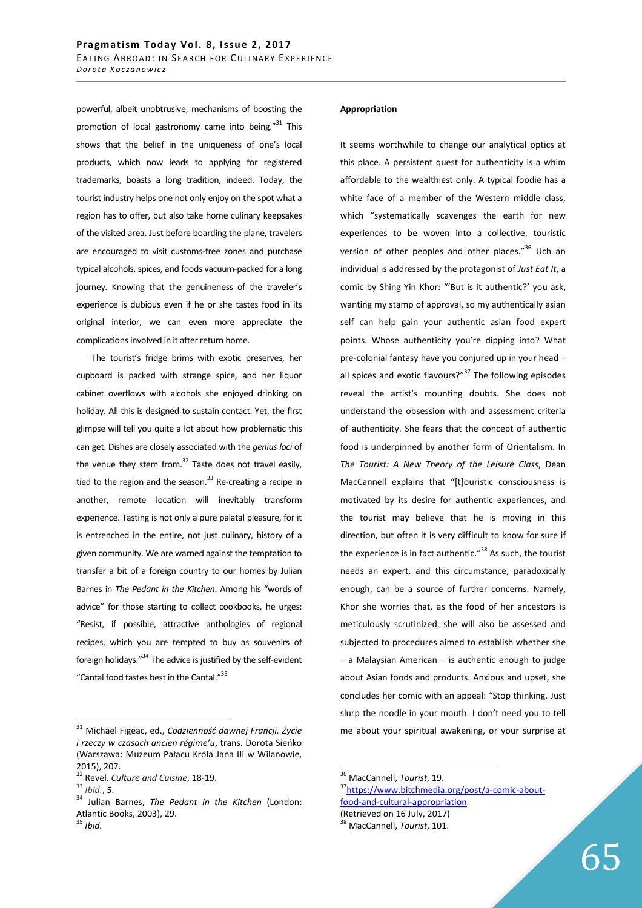powerful, albeit unobtrusive, mechanisms of boosting the promotion of local gastronomy came into being. $"^{31}$  This shows that the belief in the uniqueness of one's local products, which now leads to applying for registered trademarks, boasts a long tradition, indeed. Today, the tourist industry helps one not only enjoy on the spot what a region has to offer, but also take home culinary keepsakes of the visited area. Just before boarding the plane, travelers are encouraged to visit customs-free zones and purchase typical alcohols, spices, and foods vacuum-packed for a long journey. Knowing that the genuineness of the traveler's experience is dubious even if he or she tastes food in its original interior, we can even more appreciate the complications involved in it after return home.

The tourist's fridge brims with exotic preserves, her cupboard is packed with strange spice, and her liquor cabinet overflows with alcohols she enjoyed drinking on holiday. All this is designed to sustain contact. Yet, the first glimpse will tell you quite a lot about how problematic this can get. Dishes are closely associated with the *genius loci* of the venue they stem from. $32$  Taste does not travel easily. tied to the region and the season. $33$  Re-creating a recipe in another, remote location will inevitably transform experience. Tasting is not only a pure palatal pleasure, for it is entrenched in the entire, not just culinary, history of a given community. We are warned against the temptation to transfer a bit of a foreign country to our homes by Julian Barnes in *The Pedant in the Kitchen*. Among his "words of advice" for those starting to collect cookbooks, he urges: "Resist, if possible, attractive anthologies of regional recipes, which you are tempted to buy as souvenirs of foreign holidays." $34$  The advice is justified by the self-evident "Cantal food tastes best in the Cantal."<sup>35</sup>

 $\overline{a}$ 

## **Appropriation**

It seems worthwhile to change our analytical optics at this place. A persistent quest for authenticity is a whim affordable to the wealthiest only. A typical foodie has a white face of a member of the Western middle class, which "systematically scavenges the earth for new experiences to be woven into a collective, touristic version of other peoples and other places."<sup>36</sup> Uch an individual is addressed by the protagonist of *Just Eat It*, a comic by Shing Yin Khor: "'But is it authentic?' you ask, wanting my stamp of approval, so my authentically asian self can help gain your authentic asian food expert points. Whose authenticity you're dipping into? What pre-colonial fantasy have you conjured up in your head – all spices and exotic flavours?" $37$  The following episodes reveal the artist's mounting doubts. She does not understand the obsession with and assessment criteria of authenticity. She fears that the concept of authentic food is underpinned by another form of Orientalism. In *The Tourist: A New Theory of the Leisure Class*, Dean MacCannell explains that "[t]ouristic consciousness is motivated by its desire for authentic experiences, and the tourist may believe that he is moving in this direction, but often it is very difficult to know for sure if the experience is in fact authentic."<sup>38</sup> As such, the tourist needs an expert, and this circumstance, paradoxically enough, can be a source of further concerns. Namely, Khor she worries that, as the food of her ancestors is meticulously scrutinized, she will also be assessed and subjected to procedures aimed to establish whether she – a Malaysian American – is authentic enough to judge about Asian foods and products. Anxious and upset, she concludes her comic with an appeal: "Stop thinking. Just slurp the noodle in your mouth. I don't need you to tell me about your spiritual awakening, or your surprise at

<sup>31</sup> Michael Figeac, ed., *Codzienność dawnej Francji. Życie i rzeczy w czasach ancien régime'u*, trans. Dorota Sieńko (Warszawa: Muzeum Pałacu Króla Jana III w Wilanowie, 2015), 207.

<sup>32</sup> Revel. *Culture and Cuisine*, 18-19.

<sup>33</sup> *Ibid.*, 5.

<sup>34</sup> Julian Barnes, *The Pedant in the Kitchen* (London: Atlantic Books, 2003), 29.

<sup>35</sup> *Ibid.*

<sup>36</sup> MacCannell, *Tourist*, 19.

<sup>37</sup>https://www.bitchmedia.org/post/a-comic-aboutfood-and-cultural-appropriation (Retrieved on 16 July, 2017)

<sup>38</sup> MacCannell, *Tourist*, 101.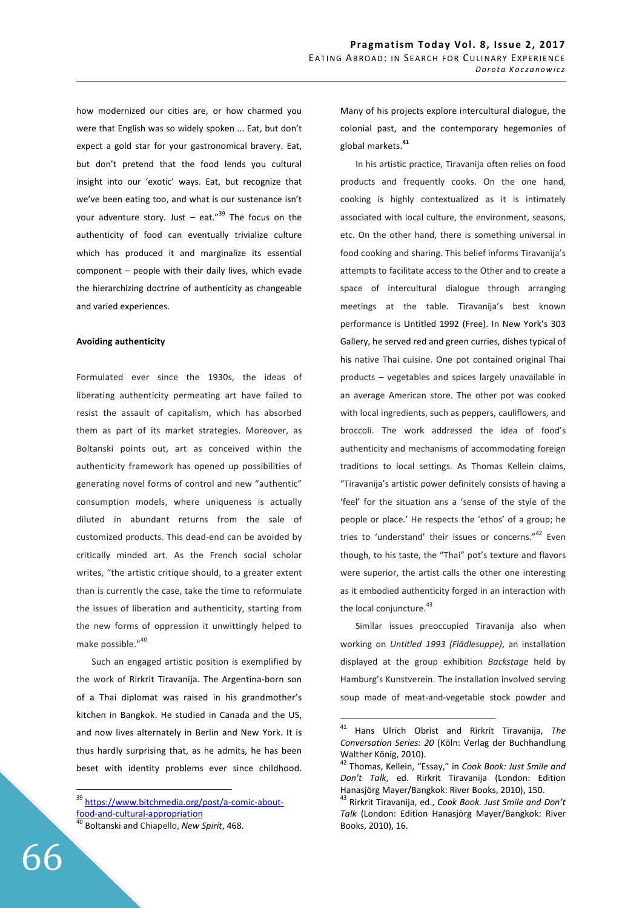how modernized our cities are, or how charmed you were that English was so widely spoken ... Eat, but don't expect a gold star for your gastronomical bravery. Eat, but don't pretend that the food lends you cultural insight into our 'exotic' ways. Eat, but recognize that we've been eating too, and what is our sustenance isn't your adventure story. Just – eat."<sup>39</sup> The focus on the authenticity of food can eventually trivialize culture which has produced it and marginalize its essential component – people with their daily lives, which evade the hierarchizing doctrine of authenticity as changeable and varied experiences.

### **Avoiding authenticity**

Formulated ever since the 1930s, the ideas of liberating authenticity permeating art have failed to resist the assault of capitalism, which has absorbed them as part of its market strategies. Moreover, as Boltanski points out, art as conceived within the authenticity framework has opened up possibilities of generating novel forms of control and new "authentic" consumption models, where uniqueness is actually diluted in abundant returns from the sale of customized products. This dead-end can be avoided by critically minded art. As the French social scholar writes, "the artistic critique should, to a greater extent than is currently the case, take the time to reformulate the issues of liberation and authenticity, starting from the new forms of oppression it unwittingly helped to make possible."<sup>40</sup>

Such an engaged artistic position is exemplified by the work of Rirkrit Tiravanija. The Argentina-born son of a Thai diplomat was raised in his grandmother's kitchen in Bangkok. He studied in Canada and the US, and now lives alternately in Berlin and New York. It is thus hardly surprising that, as he admits, he has been beset with identity problems ever since childhood. Many of his projects explore intercultural dialogue, the colonial past, and the contemporary hegemonies of global markets.**<sup>41</sup>**

In his artistic practice, Tiravanija often relies on food products and frequently cooks. On the one hand, cooking is highly contextualized as it is intimately associated with local culture, the environment, seasons, etc. On the other hand, there is something universal in food cooking and sharing. This belief informs Tiravanija's attempts to facilitate access to the Other and to create a space of intercultural dialogue through arranging meetings at the table. Tiravanija's best known performance is Untitled 1992 (Free). In New York's 303 Gallery, he served red and green curries, dishes typical of his native Thai cuisine. One pot contained original Thai products – vegetables and spices largely unavailable in an average American store. The other pot was cooked with local ingredients, such as peppers, cauliflowers, and broccoli. The work addressed the idea of food's authenticity and mechanisms of accommodating foreign traditions to local settings. As Thomas Kellein claims, "Tiravanija's artistic power definitely consists of having a 'feel' for the situation ans a 'sense of the style of the people or place.' He respects the 'ethos' of a group; he tries to 'understand' their issues or concerns."<sup>42</sup> Even though, to his taste, the "Thai" pot's texture and flavors were superior, the artist calls the other one interesting as it embodied authenticity forged in an interaction with the local conjuncture.<sup>43</sup>

Similar issues preoccupied Tiravanija also when working on *Untitled 1993 (Flädlesuppe)*, an installation displayed at the group exhibition *Backstage* held by Hamburg's Kunstverein. The installation involved serving soup made of meat-and-vegetable stock powder and

 $\overline{a}$ 

<sup>&</sup>lt;sup>39</sup> https://www.bitchmedia.org/post/a-comic-aboutfood-and-cultural-appropriation

<sup>40</sup> Boltanski and Chiapello, *New Spirit*, 468.

<sup>41</sup> Hans Ulrich Obrist and Rirkrit Tiravanija, *The Conversation Series: 20* (Köln: Verlag der Buchhandlung Walther König, 2010).

<sup>42</sup> Thomas, Kellein, "Essay," in *Cook Book: Just Smile and Don't Talk*, ed. Rirkrit Tiravanija (London: Edition Hanasjörg Mayer/Bangkok: River Books, 2010), 150.

<sup>43</sup> Rirkrit Tiravanija, ed., *Cook Book. Just Smile and Don't Talk* (London: Edition Hanasjörg Mayer/Bangkok: River Books, 2010), 16.